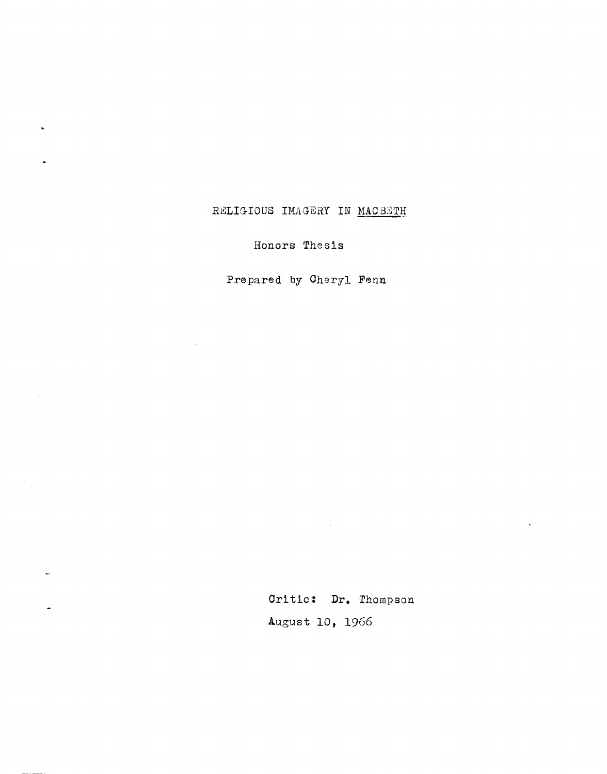## RELIGIOUS IMAGERY IN MACBETH

Honors Thesis

Prepared by Cheryl Fenn

 $\mathcal{A}$ 

 $\sim$ 

 $\ddot{\phantom{1}}$ 

Critic: **Dr.** Thompson August 10, 1966

 $\hat{\mathcal{A}}$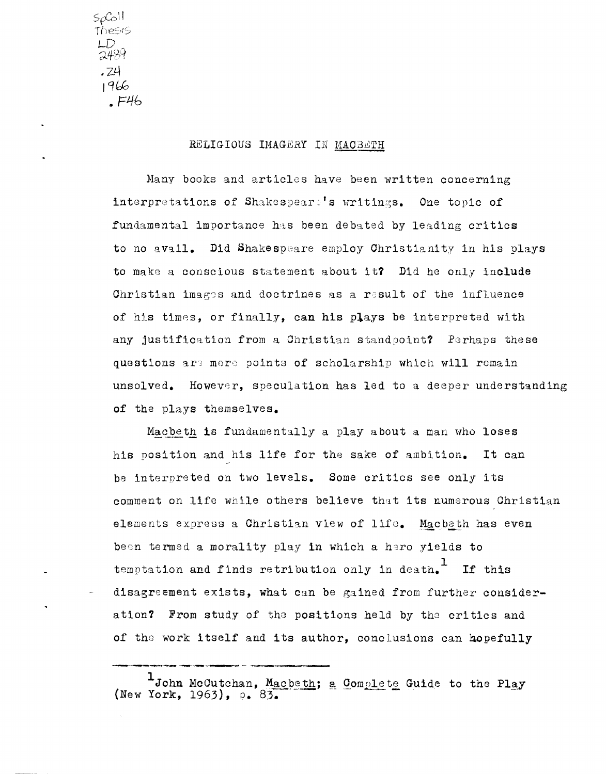$50$ thesis LD<br>2489 , 24  $1966$  $E46$ 

## RELIGIOUS IMAGERY IN MACBETH

Many books and articles have been written concerning interpretations of Shakespears's writings. One topic of fundamental importance has been debated by leading critics to no avail. Did Shakespeare employ Christianity in his plays to make a conscious statement about it? Did he only include Christian images and doctrines as a result of the influence of his times, or finally, can his plays be interpreted with any justification from a Christian standpoint? Perhaps these questions are mere points of scholarship which will remain unsolved. However, speculation has led to a deeper understanding of the plays themselves.

Macbeth is fundamentally a play about a man who loses his position and his life for the sake of ambition. It can be interpreted on two levels. Some critics see only its comment on life while others believe that its numerous Christian elements express a Christian view of life. Macbeth has even been termed a morality play in which a hero yields to temptation and finds retribution only in death.<sup>1</sup> If this disagreement exists, what can be gained from further consideration? From study of the positions held by the critics and of the work itself and its author, conclusions can hopefully

 $1$ John McCutchan, Macbeth; a Complete Guide to the Play<br>(New York, 1963), p. 83.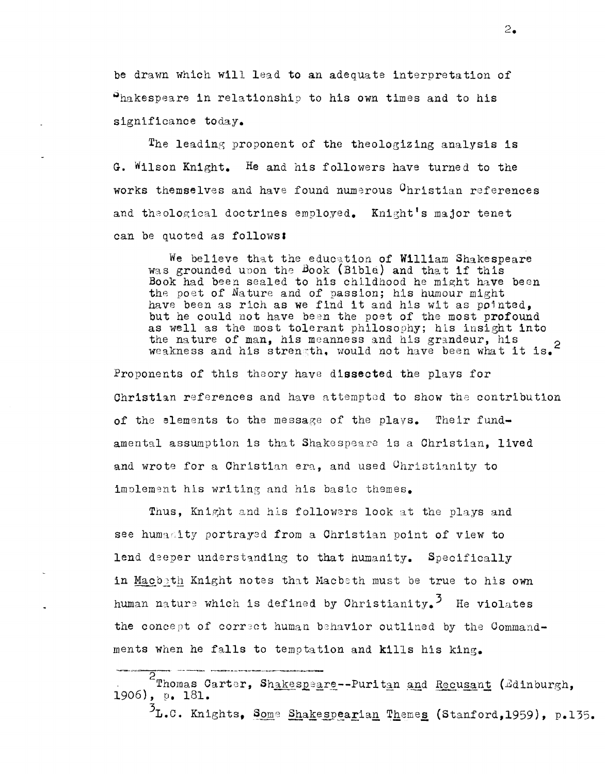be drawn which will lead to an adequate interpretation of Shakespeare in relationship to his own times and to his significance today.

The leading proponent of the theologizing analysis is G. Wilson Knight. He and his followers have turned to the works themselves and have found numerous <sup>C</sup>hristian references and theological doctrines employed. Knight's major tenet can be quoted as follows:

We believe that the education of William Shakespeare was grounded upon the Book (Bible) and that if this Book had been sealed to his childhood he might have been the poet of Nature and of passion; his humour might have been as rich as we find it and his wit as pointed, but he could not have been the poet of the most profound as well as the most tolerant philosophy; his insight into the nature of man, his meanness and his grandeur, his weakness and his strength, would not have been what it is.<sup>2</sup>

Proponents of this theory have dissected the plays for Christian references and have attempted to show the contribution of the elements to the message of the plays. Their fundamental assumption is that Shakespeare is a Christian. lived and wrote for a Christian era, and used Christianity to implement his writing and his basic themes.

Thus, Knight and his followers look at the plays and see humanity portrayed from a Christian point of view to lend deeper understanding to that humanity. Specifically in Macbeth Knight notes that Macbeth must be true to his own human nature which is defined by Christianity.<sup>3</sup> He violates the concept of correct human behavior outlined by the Commandments when he falls to temptation and kills his king.

<sup>5</sup>L.C. Knights, Some Shakespearian Themes (Stanford, 1959), p.135.

<sup>2</sup> Thomas Carter, Shakespeare--Puritan and Recusant (Edinburgh, 1906), p. 181.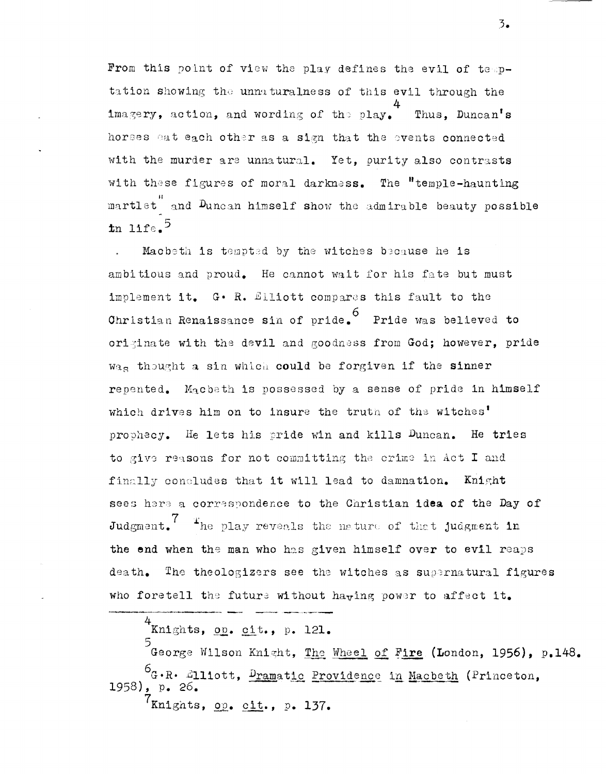From this point of view the play defines the evil of temptation showing the unnaturalness of this evil through the imagery, action, and wording of the play. Thus. Duncan's horses eat each other as a sign that the events connected with the murder are unnatural. Yet, purity also contrasts with these figures of moral darkness. The "temple-haunting martlet and Duncan himself show the admirable beauty possible  $\ln 11$ fe.<sup>5</sup>

Macbeth is tempted by the witches because he is ambitious and proud. He cannot wait for his fate but must implement it. G. R. Elliott compares this fault to the Christian Renaissance sin of pride. Pride was believed to originate with the devil and goodness from God; however, pride Was thought a sin which could be forgiven if the sinner repented. Macbeth is possessed by a sense of pride in himself which drives him on to insure the truth of the witches' prophecy. He lets his pride win and kills Duncan. He tries to give reasons for not committing the crime in Act I and finally concludes that it will lead to damnation. Knight sees here a correspondence to the Christian idea of the Day of Judgment. The play reveals the nature of that judgment in the end when the man who has given himself over to evil reaps death. The theologizers see the witches as supernatural figures who foretell the future without having power to affect it.

 $4$ Knights, op. cit., p. 121.

5<br>George Wilson Knight, <u>The Wheel of Fire</u> (London, 1956), p.148. 6G.R. 2111ott, Dramatic Providence in Macbeth (Princeton, 1958), p. 26. 7knights, op. cit., p. 137.

 $\overline{3}$ .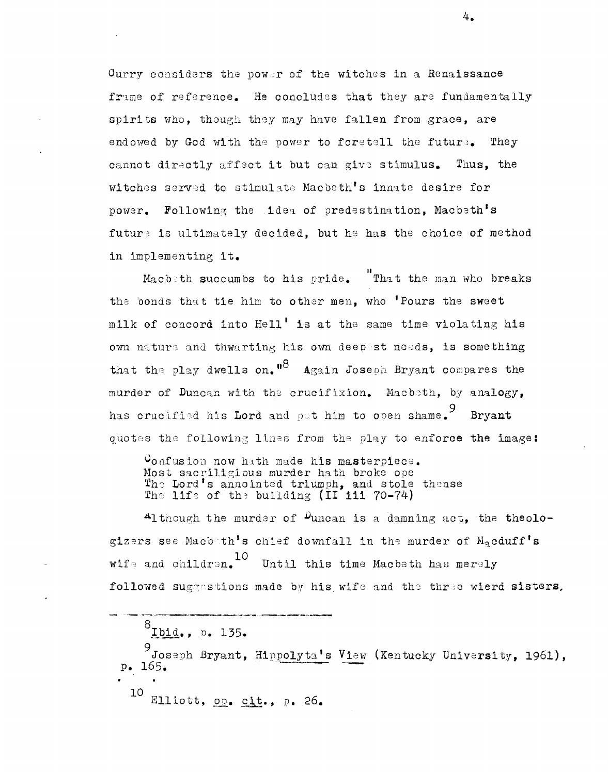Curry considers the power of the witches in a Renaissance frame of reference. He concludes that they are fundamentally spirits who, though they may have fallen from grace, are endowed by God with the power to foretell the future. They cannot directly affect it but can give stimulus. Thus, the witches served to stimulate Macbeth's innate desire for power. Following the idea of predestination, Macbeth's future is ultimately decided, but he has the choice of method in implementing it.

That the man who breaks Macb th succum bs to his pride. the bonds that tie him to other men, who 'Pours the sweet milk of concord into Hell' is at the same time violating his own nature and thwarting his own deepest needs, is something that the play dwells on.  $18$  Again Joseph Bryant compares the murder of Duncan with the crucifixion. Macbeth, by analogy, has crucified his Lord and pat him to open shame. 9 Bryant quotes the following lines from the play to enforce the image:

Vonfusion now hath made his masterpiece. Most sacriligious murder hath broke ope The Lord's annointed triumph, and stole thense The life of the building (II iii 70-74)

Although the murder of  $\mu$ uncan is a damning act, the theologizers see Macboth's chief downfall in the murder of  $M_{\alpha}$ cduff's wife and children.<sup>10</sup> Until this time Macbeth has merely followed suggestions made by his wife and the three wierd sisters.

 $8_{\text{Ibid.}}, p. 135.$ 

9<br>Joseph Bryant, Hippolyta's View (Kentucky University, 1961), p. 165. •

10 Elliott, op. cit., p. 26.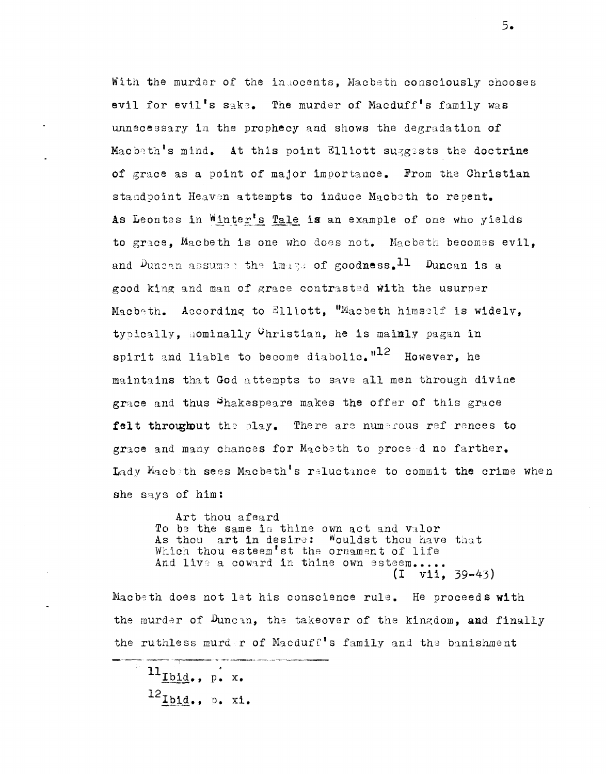With the murder of the indocents. Macbeth consciously chooses evil for evil's sake. The murder of Macduff's family was unnecessary in the prophecy and shows the degradation of Macbeth's mind. At this point Elliott suggests the doctrine of grace as a point of major importance. From the Christian standpoint Heaven attempts to induce Macbeth to repent. As Leontes in Winter's Tale is an example of one who yields to grace, Macbeth is one who does not. Macbeth becomes evil, and Duncan assumes the image of goodness.  $11$  Duncan is a good king and man of grace contrasted with the usurper Macbeth. According to Elliott, "Macbeth himself is widely, typically, nominally Christian, he is mainly pagan in spirit and liable to become diabolic.<sup> $n12$ </sup> However, he maintains that God attempts to save all men through divine grace and thus Shakespeare makes the offer of this grace felt throughout the play. There are numerous references to grace and many chances for Macbeth to proceed no farther. Lady Macbeth sees Macbeth's reluctance to commit the crime when she says of him:

Art thou afeard To be the same in thine own act and valor As thou art in desire: Wouldst thou have that Which thou esteem'st the ornament of life And live a coward in thine own esteem.....  $(I \quad v11. 39-43)$ 

Macbeth does not let his conscience rule. He proceeds with the murder of Duncan, the takeover of the kingdom, and finally the ruthless murder of Macduff's family and the banishment

 $\mathbf{u}_{\text{Ibid.}}$ , p. x.  $^{12}$ Ibid., p. xi.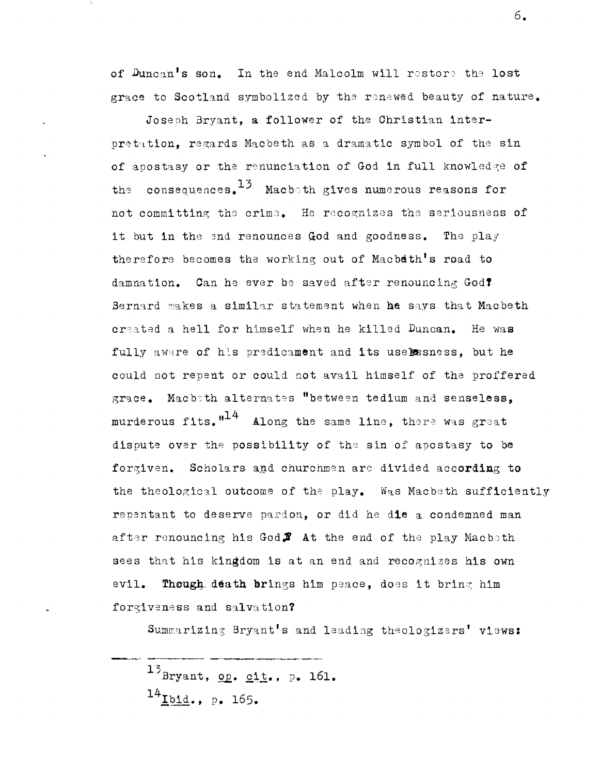of Duncan's son. In the end Malcolm will restore the lost grace to Scotland symbolized by the renewed beauty of nature.

Joseoh Bryant, a follower of the Christian interpretation, regards Macbeth as a dramatic symbol of the sin of apostasy or the renunciation of God in full knowledge of the consequences.  $13$  Macbeth gives numerous reasons for not committing the crime. He recognizes the seriousness of it but in the end renounces God and goodness. The play therefore becomes the working out of Macbdth's road to damnation. Can he ever be saved after renouncing GodT Bernard makes a similar statement when he says that Macbeth created a hell for himself when he killed Duncan. He was fully aware of his predicament and its uselssness, but he could not repent or could not avail himself of the proffered grace. Macbith alternates "between tedium and senseless. murderous fits. $"^{14}$  Along the same line, there was great dispute over the possibility of the sin of apostasy to be forgiven. Scholars and churchmen are divided according to the theological outcome of the play. Was Macbeth sufficiently repentant to deserve pardon, or did he die a condemned man after renouncing his God $\mathcal$  at the end of the play Macbeth sees that his kingdom is at an end and recognizes his own evil. Though death brings him peace, does it bring him forgiveness and salvation?

Summarizing Bryant's and leading theologizers' views:

 $^{13}$ Bryant, op. cit., p. 161.  $14$ **L**bid., p. 165.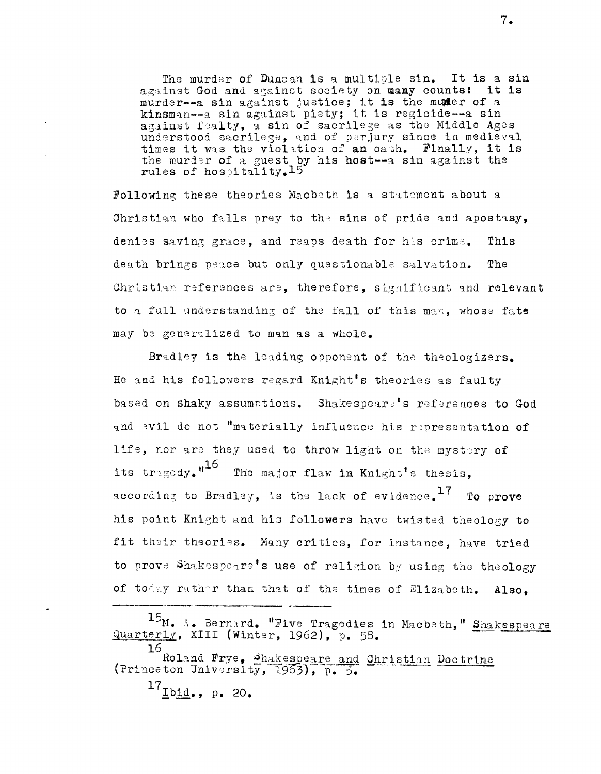The murder of Duncan is a multiple sin. It is a sin against God and against society on many counts: it is murder--a sin against justice; it is the muder of a kinsman--a sin against piety; it is regicide--a sin against fealty, a sin of sacrilege as the Middle Ages understood sacrilege, and of perjury since in medieval times it was the violation of an oath. Finally, it is the murder of a guest by his host--a sin against the rules of hospitality.15

Following these theories Macbeth is a statement about a Christian who falls prey to the sins of pride and apostasy, denies saving grace, and reaps death for his crime. This death brings peace but only questionable salvation. The Christian references are, therefore, significant and relevant to a full understanding of the fall of this man, whose fate may be generalized to man as a whole.

Bradley is the leading opponent of the theologizers. He and his followers regard Knight's theories as faulty based on shaky assumptions. Shakespeare's references to God and evil do not "materially influence his representation of life, nor are they used to throw light on the mystery of its tragedy."<sup>16</sup> The major flaw in Knight's thesis, according to Bradley, is the lack of evidence.  $17$  To prove his point Knight and his followers have twisted theology to fit their theories. Many critics, for instance, have tried to prove Shakespeare's use of religion by using the theology of today rather than that of the times of Elizabeth. Also.

<sup>15&</sup>lt;sub>M.</sub> A. Bernard. "Five Tragedies in Macbeth," Shakespeare Quarterly, XIII (Winter, 1962), p. 58.

<sup>16</sup> Roland Frye, Shakespeare and Christian Doctrine (Princeton University, 1963), p. 5.

 $^{17}$ Ibid., p. 20.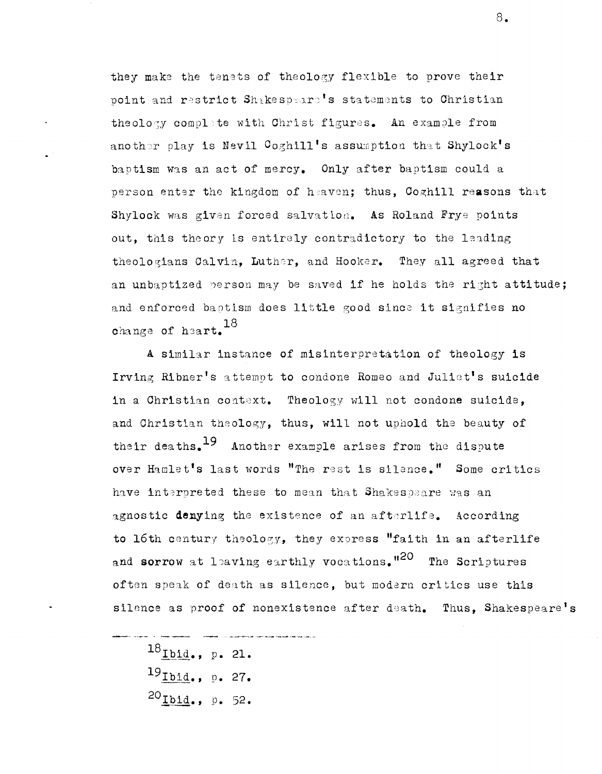they make the tenets of theology flexible to prove their point and restrict Shakespears's statements to Christian theology complete with Christ figures. An example from another play is Nevil Coghill's assumption that Shylock's baptism was an act of mercy. Only after baptism could a person enter the kingdom of heaven; thus, Coghill reasons that Shylock was given forced salvation. As Roland Frye points out, this theory is entirely contradictory to the leading theologians Calvin. Luther, and Hooker. They all agreed that an unbaptized person may be saved if he holds the right attitude; and enforced baptism does little good since it signifies no change of heart. 18

A similar instance of misinterpretation of theology is Irving Ribner's attempt to condone Romeo and Juliet's suicide in a Christian context. Theology will not condone suicide, and Christian theology, thus, will not uphold the beauty of their deaths.<sup>19</sup> Another example arises from the dispute over Hamlet's last words "The rest is silence." Some critics have interpreted these to mean that Shakespeare was an agnostic denying the existence of an afterlife. According to 16th century theology, they express "faith in an afterlife and sorrow at leaving earthly vocations."<sup>20</sup> The Scriptures often speak of death as silence. but modern critics use this silence as proof of nonexistence after death. Thus, Shakespeare's

 $^{18}$ Ibid., p. 21.  $^{19}$ Ibid., p. 27.  $^{20}$ Ibid., p. 52.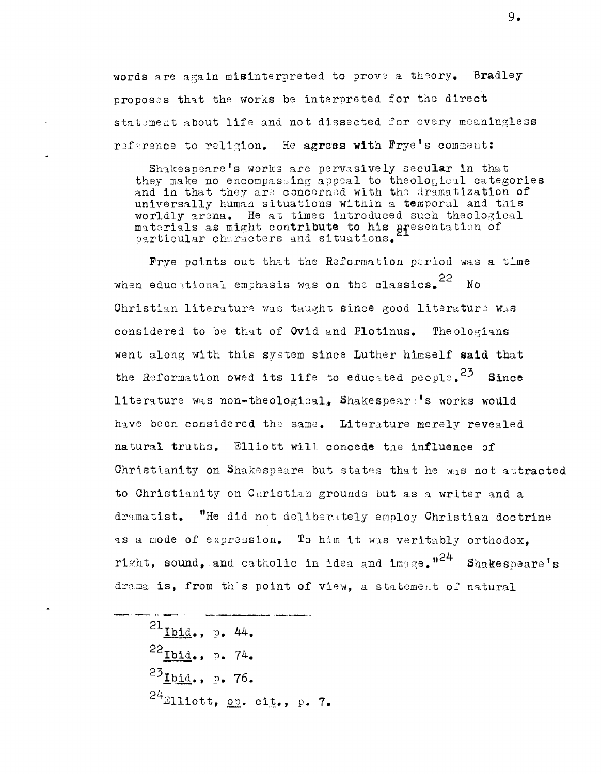words are again misinterpreted to prove a theory. Bradley proposes that the works be interpreted for the direct statement about life and not dissected for every meaningless reference to religion. He agrees with Frye's comment:

Shakespeare's works are pervasively secular in that they make no encompassing appeal to theological categories and in that they are concerned with the dramatization of universally human situations within a temporal and this worldly arena. He at times introduced such theological materials as might contribute to his presentation of<br>particular characters and situations.

Frye points out that the Reformation period was a time when educational emphasis was on the classics. 22  $N_{\Omega}$ Christian literature was taught since good literature was considered to be that of Ovid and Plotinus. Theologians went along with this system since Luther himself said that the Reformation owed its life to educated people.<sup>23</sup> Since literature was non-theological, Shakespeare's works would have been considered the same. Literature merely revealed natural truths. Elliott will concede the influence of Christianity on Shakespeare but states that he was not attracted to Christianity on Christian grounds but as a writer and a dramatist. "He did not deliberately employ Christian doctrine as a mode of expression. To him it was veritably orthodox. right, sound, and catholic in idea and image,  $n^{24}$  Shakespeare's drama is, from this point of view, a statement of natural

 $^{21}$ Ibid., p. 44.  $^{22}$ Ibid., p. 74.  $^{23}$ Ibid., p. 76.  $24$ Elliott, op. cit., p. 7.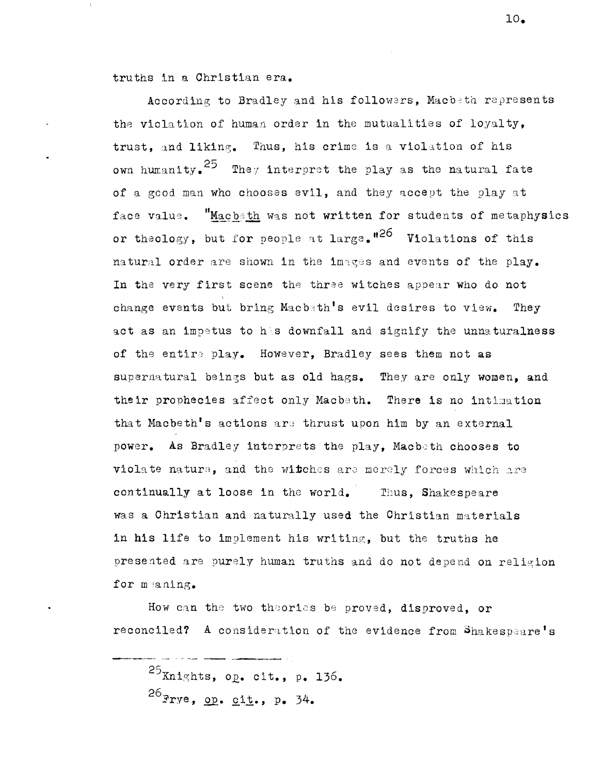truths in a Christian era.

According to Bradley and his followers. Macbeth represents the violation of human order in the mutualities of loyalty. trust, and liking. Thus, his crime is a violation of his own humanity.<sup>25</sup> They interpret the play as the natural fate of a good man who chooses evil, and they accept the play at face value. "Macbeth was not written for students of metaphysics or theology, but for people at large.<sup>126</sup> Violations of this natural order are shown in the images and events of the play. In the very first scene the three witches appear who do not change events but bring Macbath's evil desires to view. They act as an impetus to his downfall and signify the unnaturalness of the entire play. However, Bradley sees them not as supernatural beings but as old hags. They are only women, and their prophecies affect only Macbeth. There is no intimation that Macbeth's actions are thrust upon him by an external power. As Bradley interprets the play, Macbeth chooses to violate nature, and the witches are merely forces which are continually at loose in the world. Thus, Shakespeare was a Christian and naturally used the Christian materials in his life to implement his writing, but the truths he presented are purely human truths and do not depend on religion for meaning.

How can the two theories be proved, disproved, or reconciled? A consideration of the evidence from Shakespeare's

 $^{25}$ Knights, op. cit., p. 136.  $^{26}$ Frye, op. cit., p. 34.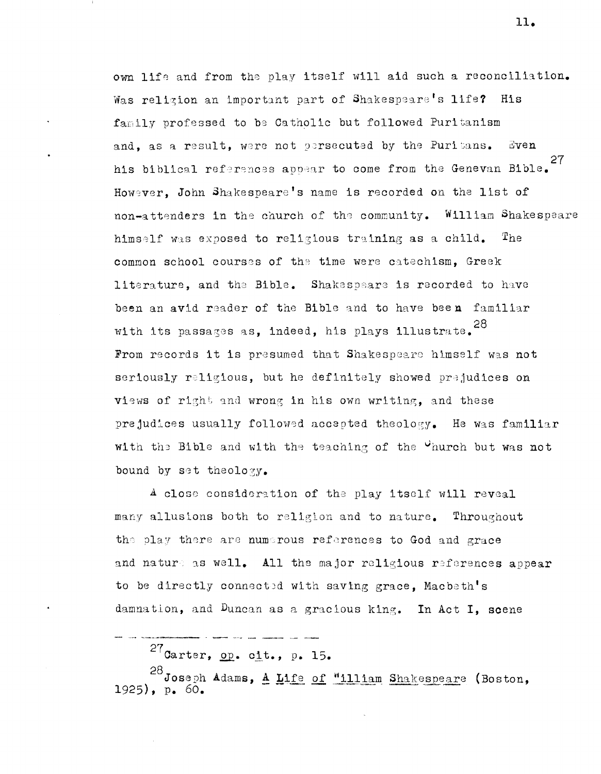own life and from the play itself will aid such a reconciliation. Was religion an important part of Shakespeare's life? His family professed to be Catholic but followed Puritanism and, as a result, were not persecuted by the Puritans.  $E$ ven 27 his biblical references appear to come from the Genevan Bible. However. John Shakespeare's name is recorded on the list of non-attenders in the church of the community. William Shakespeare himself was exposed to religious training as a child.  $\mathbf{T}_{\mathrm{he}}$ common school courses of the time were catechism. Greek literature, and the Bible. Shakespeare is recorded to have been an avid reader of the Bible and to have been familiar with its passages as, indeed, his plays illustrate. 28 From records it is presumed that Shakespeare himself was not seriously religious, but he definitely showed prejudices on views of right and wrong in his own writing, and these prejudices usually followed accepted theology. He was familiar with the Bible and with the teaching of the "hurch but was not bound by set theology.

A close consideration of the play itself will reveal many allusions both to religion and to nature. Throughout the play there are numerous references to God and grace and nature as well. All the major religious references appear to be directly connected with saving grace. Macbeth's damnation, and Duncan as a gracious king. In Act I, scene

 $27$ Carter, op. cit., p. 15.

28 Joseph Adams, A Life of "illiam Shakespeare (Boston,  $1925)$ , p. 60.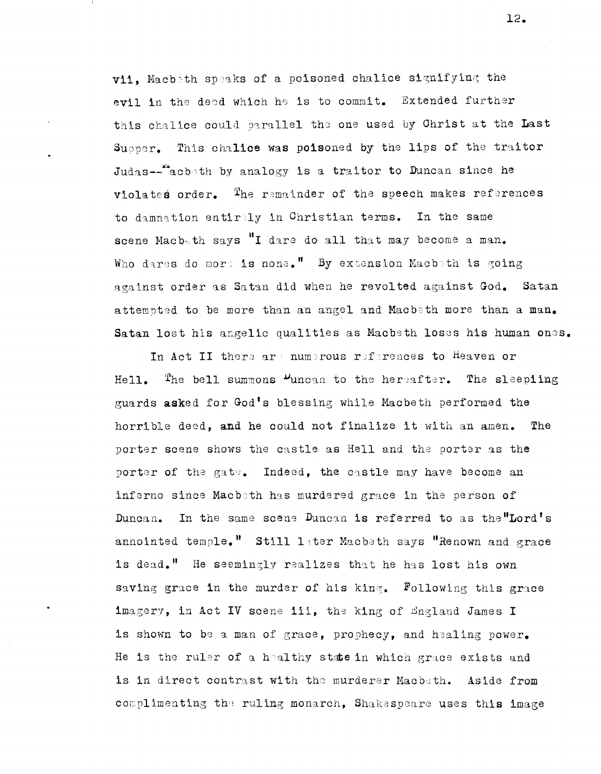vii. Macbeth speaks of a poisoned chalice signifying the evil in the deed which he is to commit. Extended further this chalice could parallel the one used by Christ at the Last Supper. This chalice was poisoned by the lips of the traitor Judas--tacbeth by analogy is a traitor to Duncan since he violates order. The remainder of the speech makes references to damnation entirely in Christian terms. In the same scene Macbeth says "I dare do all that may become a man. Who dares do more is none." By extension Macbeth is going against order as Satan did when he revolted against God. Satan attempted to be more than an angel and Macbeth more than a man. Satan lost his angelic qualities as Macbeth loses his human ones.

In Act II there are numerous references to Heaven or Hell. The bell summons  $\mu_{\text{uncan}}$  to the hereafter. The sleepling guards asked for God's blessing while Macbeth performed the horrible deed, and he could not finalize it with an amen. The porter scene shows the castle as Hell and the porter as the porter of the gate. Indeed, the castle may have become an inferno since Macboth has murdered grace in the person of Duncan. In the same scene Duncan is referred to as the "Lord's annointed temple." Still later Macbeth says "Renown and grace is dead." He seemingly realizes that he has lost his own saving grace in the murder of his king. Following this grace imagery, in Act IV scene iii, the king of England James I is shown to be a man of grace, prophecy, and healing power. He is the ruler of a healthy state in which grace exists and is in direct contrast with the murderer Macbeth. Aside from complimenting the ruling monarch, Shakespeare uses this image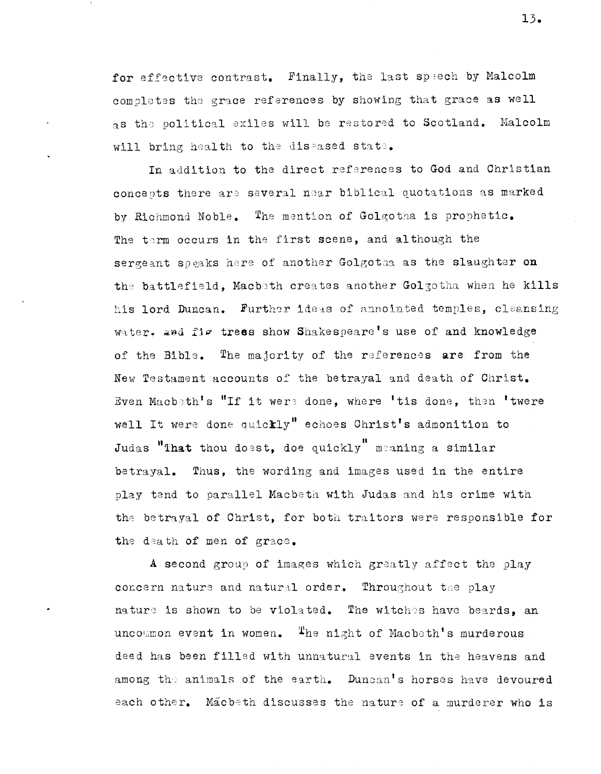for effective contrast. Finally, the last speech by Malcolm completes the grace references by showing that grace as well as the political exiles will be restored to Scotland. Malcolm will bring health to the diseased state.

In addition to the direct references to God and Christian concepts there are several near biblical quotations as marked by Richmond Noble. The mention of Golgotha is prophetic. The term occurs in the first scene, and although the sergeant speaks here of another Golgotha as the slaughter on the battlefield, Macbeth creates another Golgotha when he kills his lord Duncan. Further ideas of annointed temples, cleansing water, and fig trees show Shakespeare's use of and knowledge of the Bible. The majority of the references are from the New Testament accounts of the betrayal and death of Christ. Even Macbeth's "If it were done, where 'tis done, then 'twere well It were done quickly" echoes Christ's admonition to Judas "That thou doest, doe quickly" meaning a similar betrayal. Thus, the wording and images used in the entire play tend to parallel Macbeth with Judas and his crime with the betrayal of Christ, for both traitors were responsible for the death of men of grace.

A second group of images which greatly affect the play concern nature and natural order. Throughout the play nature is shown to be violated. The witches have beards, an uncommon event in women. The night of Macbeth's murderous deed has been filled with unnatural events in the heavens and among the animals of the earth. Duncan's horses have devoured each other. Macbeth discusses the nature of a murderer who is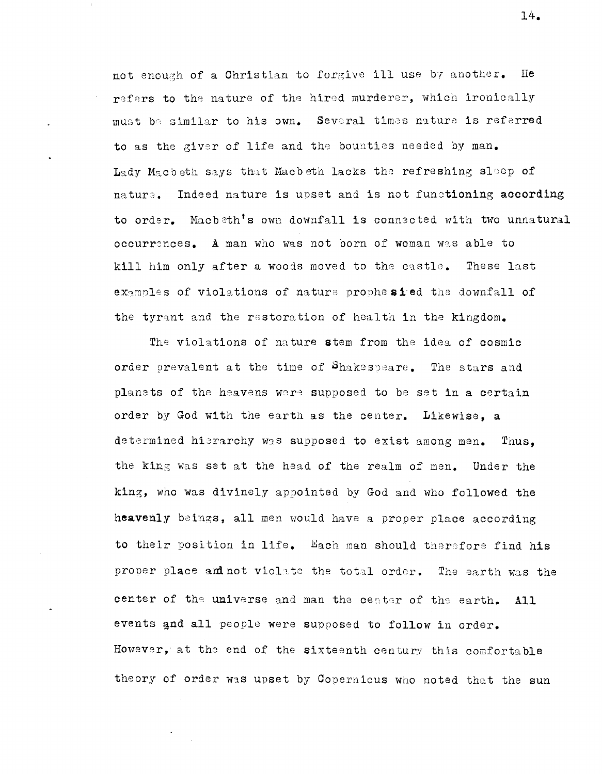not enough of a Christian to forgive ill use by another. He refers to the nature of the hired murderer, which ironically must be similar to his own. Several times nature is referred to as the giver of life and the bounties needed by man. Lady Macbeth says that Macbeth lacks the refreshing sleep of nature. Indeed nature is upset and is not functioning according to order. Macbeth's own downfall is connected with two unnatural occurrences. A man who was not born of woman was able to kill him only after a woods moved to the castle. These last examples of violations of nature prophesied the downfall of the tyrant and the restoration of health in the kingdom.

The violations of nature stem from the idea of cosmic order prevalent at the time of Shakespeare. The stars and planets of the heavens were supposed to be set in a certain order by God with the earth as the center. Likewise, a determined hierarchy was supposed to exist among men. Thus, the king was set at the head of the realm of men. Under the king, who was divinely appointed by God and who followed the heavenly beings, all men would have a proper place according to their position in life. Each man should therefore find his proper place and not violate the total order. The earth was the center of the universe and man the center of the earth.  $A11$ events and all people were supposed to follow in order. However, at the end of the sixteenth century this comfortable theory of order was upset by Copernicus who noted that the sun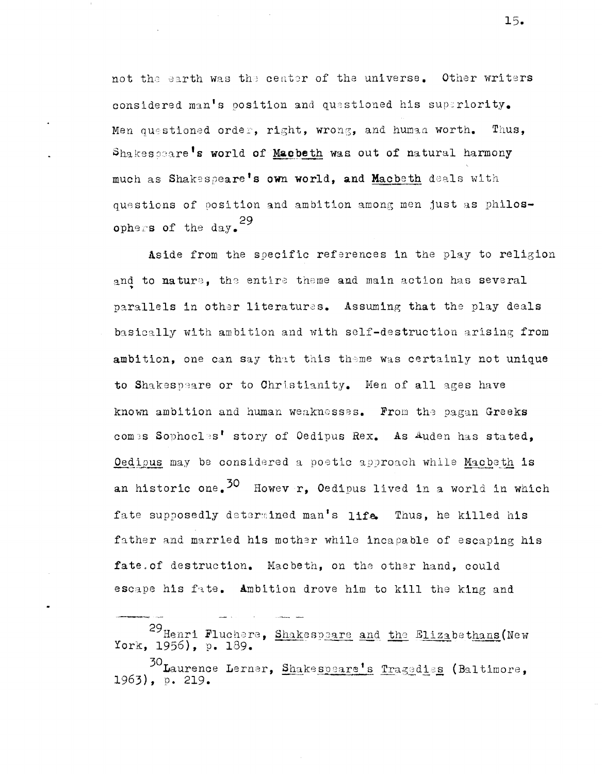not the earth was the center of the universe. Other writers considered man's position and questioned his superiority. Men questioned order, right, wrong, and human worth. Thus, Shakescare's world of Macbeth was out of natural harmony much as Shakespeare's own world, and Macbeth deals with questions of position and ambition among men just as philosophers of the day.<sup>29</sup>

Aside from the specific references in the play to religion and to nature, the entire theme and main action has several parallels in other literatures. Assuming that the play deals basically with ambition and with self-destruction arising from ambition, one can say that this theme was certainly not unique to Shakespeare or to Christianity. Men of all ages have known ambition and human weaknesses. From the pagan Greeks comes Sophocles' story of Oedipus Rex. As Auden has stated, Oedipus may be considered a poetic approach while Macbeth is an historic one.<sup>30</sup> Howev r, Oedipus lived in a world in which fate supposedly determined man's life. Thus, he killed his father and married his mother while incapable of escaping his fate. of destruction. Macbeth, on the other hand, could escape his fate. Ambition drove him to kill the king and

<sup>29</sup> Henri Fluchere, Shakespeare and the Elizabethans (New York, 1956), p. 189.

<sup>30</sup> Laurence Lerner, Shakespeare's Tragedies (Baltimore, 1963), p. 219.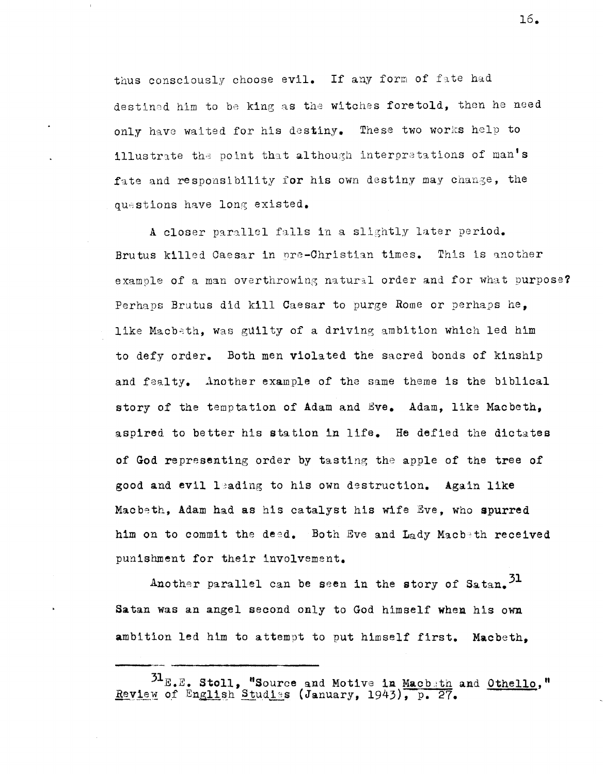thus consciously choose evil. If any form of fate had destined him to be king as the witches foretold, then he need only have waited for his destiny. These two works help to illustrate the point that although interpretations of man's fate and responsibility for his own destiny may change, the questions have long existed.

A closer parallel falls in a slightly later period. Brutus killed Caesar in pre-Christian times. This is another example of a man overthrowing natural order and for what purpose? Perhaps Brutus did kill Caesar to purge Rome or perhaps he, like Macbeth, was guilty of a driving ambition which led him to defy order. Both men violated the sacred bonds of kinship and fealty. Another example of the same theme is the biblical story of the temptation of Adam and Eye. Adam, like Macbeth. aspired to better his station in life. He defied the dictates of God representing order by tasting the apple of the tree of good and evil leading to his own destruction. Again like Macbeth, Adam had as his catalyst his wife Eve, who spurred him on to commit the deed. Both Eve and Lady Macbeth received punisbment for their involvement.

Another parallel can be seen in the story of Satan.  $31$ Satan was an angel second only to God himself when his own ambition led him to attempt to put himself first. Macbeth,

 $^{51}$ E.E. Stoll, "Source and Motive in Macbith and Othello," Review of English Studies (January, 1943), p. 27.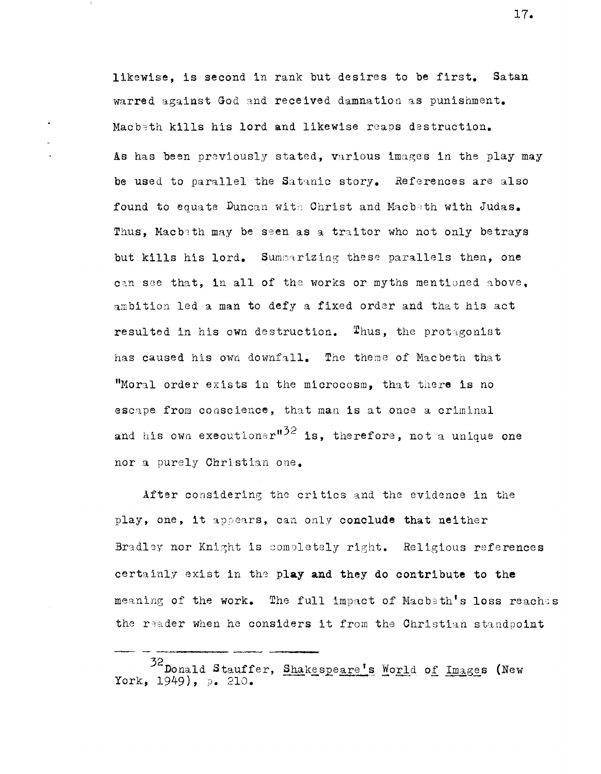likewise. is second in rank but desires to be first. Satan warred against God and received damnation as punishment. Macbeth kills his lord and likewise reaps destruction. As has been previously stated, various images in the play may be used to parallel the Satanic story. References are also found to equate Duncan with Christ and Macbeth with Judas. Thus, Macbeth may be seen as a traitor who not only betrays but kills his lord. Summarizing these parallels then, one can see that. in all of the works or myths mentioned above. ambition led a man to defy a fixed order and that his act resulted in his own destruction. Thus, the protagonist has caused his own downfall. The theme of Macbeth that "Moral order exists in the microcosm, that there is no escape from conscience, that man is at once a criminal and his own executioner<sup>#32</sup> is, therefore, not a unique one nor a purely Christian one.

After considering the critics and the evidence in the play, one, it appears, can only conclude that neither Bradley nor Knight is completely right. Religious references certainly exist in the play and they do contribute to the meaning of the work. The full impact of Macb $\pm$ th's loss reaches the reader when he considers it from the Christian standpoint

--------~

<sup>32</sup> Donald Stauffer, Shakespeare's Morld of Images (New York, 1949), p. 210.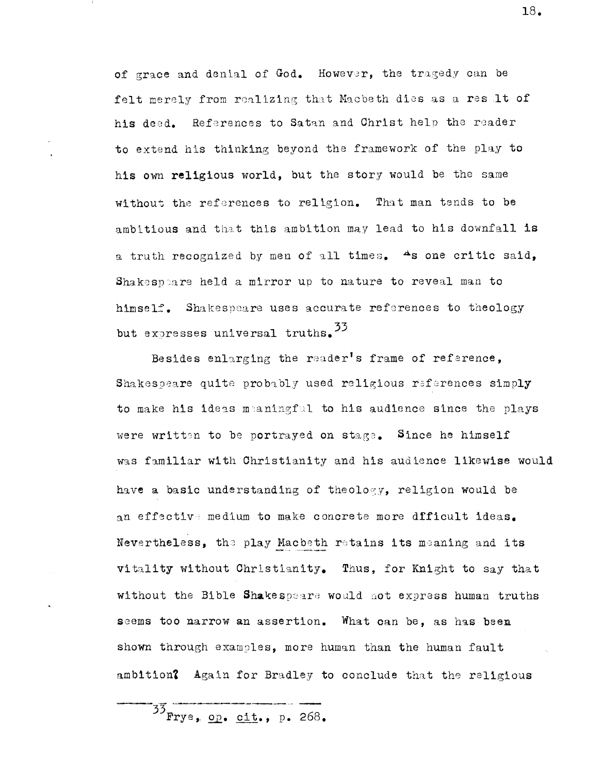of grace and denial of God. However, the tragedy can be felt merely from realizing that Macbeth dies as a result of his deed. References to Satan and Christ help the reader to extend his thinking beyond the framework of the play to his own religious world, but the story would be the same without the references to religion. That man tends to be ambitious and that this ambition may lead to his downfall is a truth recognized by men of all times. As one critic said. Shakespeare held a mirror up to nature to reveal man to himself. Shakespeare uses accurate references to theology but expresses universal truths. 33

Besides enlarging the reader's frame of reference. Shakespeare quite probably used religious references simply to make his ideas meaningful to his audience since the plays were written to be portrayed on stage. Since he himself was familiar with Christianity and his audience likewise would have a basic understanding of theology, religion would be an effective medium to make concrete more dfficult ideas. Nevertheless, the play Macbeth retains its meaning and its vitality without Christianity. Thus, for Knight to say that without the Bible Shakespeare would not express human truths seems too narrow an assertion. What can be, as has been shown through examples, more human than the human fault ambition? Again for Bradley to conclude that the religious

 $33$  Frye, op. cit., p. 268.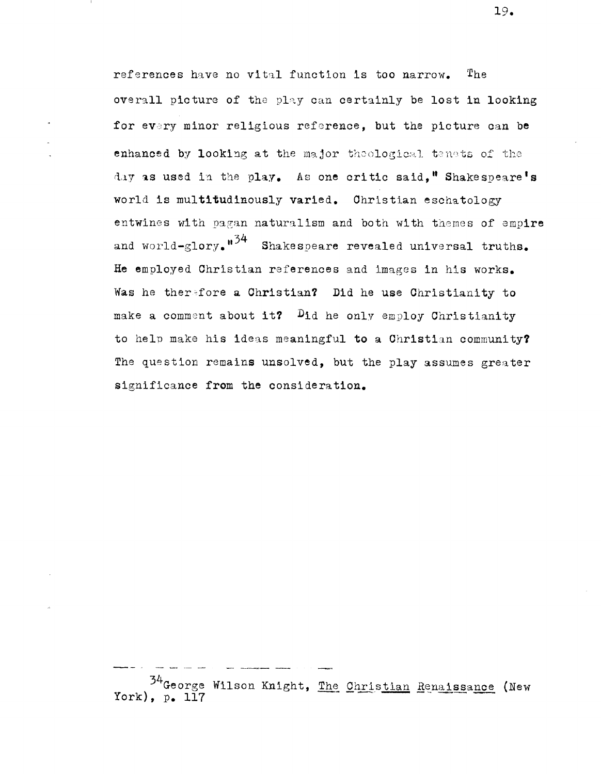references have no vital function is too narrow. The overall picture of the play can certainly be lost in looking for every minor religious reference, but the picture can be enhanced by looking at the major theological tenets of the day as used in the play. As one critic said," Shakespeare's world is multitudinously varied. Christian eschatology entwines with pagan naturalism and both with themes of empire and world-glory.  $n^{34}$  Shakespeare revealed universal truths. He employed Christian references and images in his works. Was he therefore a Christian? Did he use Christianity to make a comment about it?  $D_{id}$  he only employ Christianity to help make his ideas meaningful to a Christian community? The question remains unsolved, but the play assumes greater significance from the consideration.

34 George Wilson Knight, The Christian Renaissance (New York),  $p_{\bullet}$  117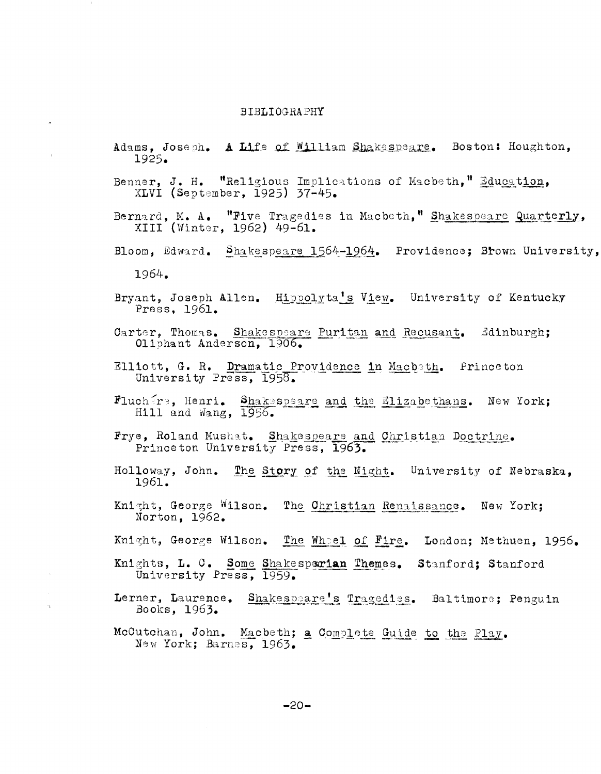## **BIBLIOGRAPHY**

- Adams, Joseph. A Life of William Shakespeare. Boston: Houghton, 1925.
- Benner, J. H. "Religious Implications of Macbeth," Education, XLVI (September, 1925) 37-45.
- Bernard, M. A. "Five Tragedies in Macbeth," Shakespeare Quarterly,<br>XIII (Winter, 1962) 49-61.
- Bloom, Edward. Shakespeare 1564-1964. Providence; Brown University,

- Bryant, Joseph Allen. Hippolyta's View. University of Kentucky Press, 1961.
- Carter, Thomas. Shakespeare Puritan and Recusant. Edinburgh; Oliphant Anderson, 1906.
- Elliott, G. R. Dramatic Providence in Macbeth. Princeton<br>University Press, 1958.
- Fluchare, Henri. Shakespeare and the Elizabethans. New York;<br>Hill and Wang, 1956.
- Frye, Roland Mushat. Shakespeare and Christian Doctrine. Princeton University Press, 1963.
- Holloway, John. The Story of the Night. University of Nebraska, 1961.
- Knight, George Wilson. The Christian Renaissance. New York; Norton, 1962.
- Knight, George Wilson. The Whel of Fire. London; Methuen, 1956.
- Knights, L. C. Some Shakesperian Themes. Stanford; Stanford University Press, 1959.
- Lerner, Laurence. Shakespeare's Tragedies. Baltimore; Penguin Books, 1963.
- McCutchan, John. Macbeth; a Complete Guide to the Play. New York; Barnes, 1963.